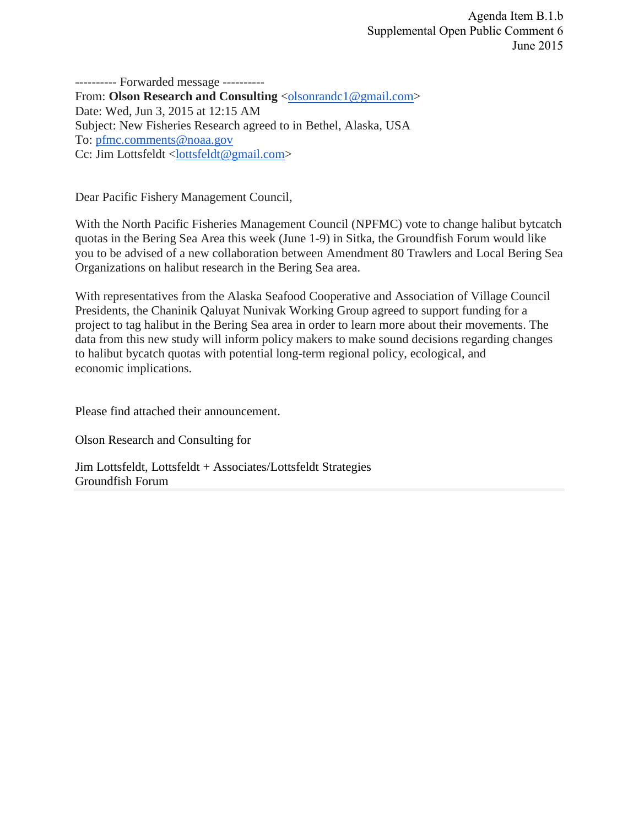---------- Forwarded message ---------- From: **Olson Research and Consulting** <*olsonrandc1@gmail.com>* Date: Wed, Jun 3, 2015 at 12:15 AM Subject: New Fisheries Research agreed to in Bethel, Alaska, USA To: [pfmc.comments@noaa.gov](mailto:pfmc.comments@noaa.gov) Cc: Jim Lottsfeldt [<lottsfeldt@gmail.com>](mailto:lottsfeldt@gmail.com)

Dear Pacific Fishery Management Council,

With the North Pacific Fisheries Management Council (NPFMC) vote to change halibut bytcatch quotas in the Bering Sea Area this week (June 1-9) in Sitka, the Groundfish Forum would like you to be advised of a new collaboration between Amendment 80 Trawlers and Local Bering Sea Organizations on halibut research in the Bering Sea area.

With representatives from the Alaska Seafood Cooperative and Association of Village Council Presidents, the Chaninik Qaluyat Nunivak Working Group agreed to support funding for a project to tag halibut in the Bering Sea area in order to learn more about their movements. The data from this new study will inform policy makers to make sound decisions regarding changes to halibut bycatch quotas with potential long-term regional policy, ecological, and economic implications.

Please find attached their announcement.

Olson Research and Consulting for

Jim Lottsfeldt, Lottsfeldt + Associates/Lottsfeldt Strategies Groundfish Forum